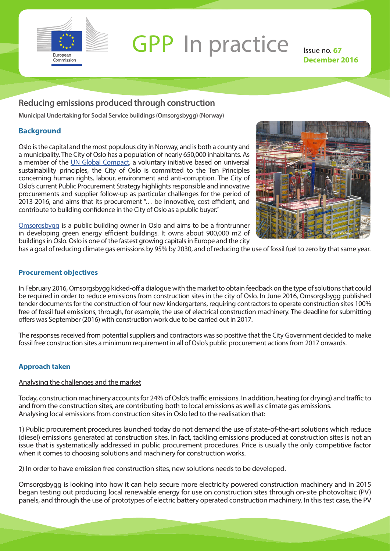

# **GPP** In practice Issue no. 67

**December 2016**

## **Reducing emissions produced through construction**

**Municipal Undertaking for Social Service buildings (Omsorgsbygg) (Norway)** 

### **Background**

Oslo is the capital and the most populous city in Norway, and is both a county and a municipality. The City of Oslo has a population of nearly 650,000 inhabitants. As a member of the [UN Global Compact](https://www.unglobalcompact.org/), a voluntary initiative based on universal sustainability principles, the City of Oslo is committed to the Ten Principles concerning human rights, labour, environment and anti-corruption. The City of Oslo's current Public Procurement Strategy highlights responsible and innovative procurements and supplier follow-up as particular challenges for the period of 2013-2016, and aims that its procurement "… be innovative, cost-efficient, and contribute to building confidence in the City of Oslo as a public buyer."

Image: Pixabay

[Omsorgsbygg](https://www.oslo.kommune.no/politikk-og-administrasjon/etater-og-foretak/omsorgsbygg-oslo-kf/) is a public building owner in Oslo and aims to be a frontrunner in developing green energy efficient buildings. It owns about 900,000 m2 of buildings in Oslo. Oslo is one of the fastest growing capitals in Europe and the city

has a goal of reducing climate gas emissions by 95% by 2030, and of reducing the use of fossil fuel to zero by that same year.

#### **Procurement objectives**

In February 2016, Omsorgsbygg kicked-off a dialogue with the market to obtain feedback on the type of solutions that could be required in order to reduce emissions from construction sites in the city of Oslo. In June 2016, Omsorgsbygg published tender documents for the construction of four new kindergartens, requiring contractors to operate construction sites 100% free of fossil fuel emissions, through, for example, the use of electrical construction machinery. The deadline for submitting offers was September (2016) with construction work due to be carried out in 2017.

The responses received from potential suppliers and contractors was so positive that the City Government decided to make fossil free construction sites a minimum requirement in all of Oslo's public procurement actions from 2017 onwards.

#### **Approach taken**

#### Analysing the challenges and the market

Today, construction machinery accounts for 24% of Oslo's traffic emissions. In addition, heating (or drying) and traffic to and from the construction sites, are contributing both to local emissions as well as climate gas emissions. Analysing local emissions from construction sites in Oslo led to the realisation that:

1) Public procurement procedures launched today do not demand the use of state-of-the-art solutions which reduce (diesel) emissions generated at construction sites. In fact, tackling emissions produced at construction sites is not an issue that is systematically addressed in public procurement procedures. Price is usually the only competitive factor when it comes to choosing solutions and machinery for construction works.

2) In order to have emission free construction sites, new solutions needs to be developed.

Omsorgsbygg is looking into how it can help secure more electricity powered construction machinery and in 2015 began testing out producing local renewable energy for use on construction sites through on-site photovoltaic (PV) panels, and through the use of prototypes of electric battery operated construction machinery. In this test case, the PV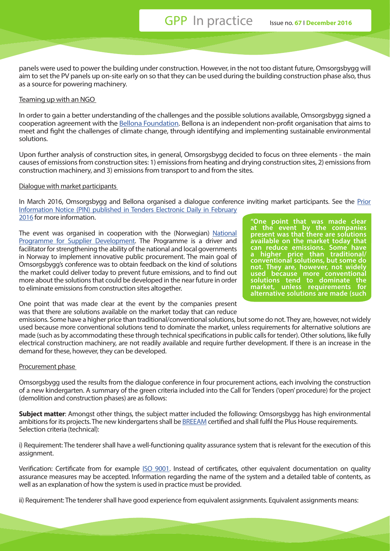panels were used to power the building under construction. However, in the not too distant future, Omsorgsbygg will aim to set the PV panels up on-site early on so that they can be used during the building construction phase also, thus as a source for powering machinery.

#### Teaming up with an NGO

In order to gain a better understanding of the challenges and the possible solutions available, Omsorgsbygg signed a cooperation agreement with the [Bellona Foundation.](http://bellona.org/about-bellona) Bellona is an independent non-profit organisation that aims to meet and fight the challenges of climate change, through identifying and implementing sustainable environmental solutions.

Upon further analysis of construction sites, in general, Omsorgsbygg decided to focus on three elements - the main causes of emissions from construction sites: 1) emissions from heating and drying construction sites, 2) emissions from construction machinery, and 3) emissions from transport to and from the sites.

#### Dialogue with market participants

In March 2016, Omsorgsbygg and Bellona organised a dialogue conference inviting market participants. See the [Prior](http://ted.europa.eu/udl?uri=TED:NOTICE:51005-2016:TEXT:EN:HTML&src=0) [Information Notice \(PIN\) published in Tenders Electronic Daily in February](http://ted.europa.eu/udl?uri=TED:NOTICE:51005-2016:TEXT:EN:HTML&src=0)  [2016](http://ted.europa.eu/udl?uri=TED:NOTICE:51005-2016:TEXT:EN:HTML&src=0) for more information.

The event was organised in cooperation with the (Norwegian) [National](http://www.leverandorutvikling.no/programmet/)  [Programme for Supplier Development.](http://www.leverandorutvikling.no/programmet/) The Programme is a driver and facilitator for strengthening the ability of the national and local governments in Norway to implement innovative public procurement. The main goal of Omsorgsbygg's conference was to obtain feedback on the kind of solutions the market could deliver today to prevent future emissions, and to find out more about the solutions that could be developed in the near future in order to eliminate emissions from construction sites altogether.

**"One point that was made clear at the event by the companies present was that there are solutions available on the market today that can reduce emissions. Some have a higher price than traditional/ conventional solutions, but some do not. They are, however, not widely used because more conventional solutions tend to dominate the market, unless requirements for alternative solutions are made (such** 

One point that was made clear at the event by the companies present was that there are solutions available on the market today that can reduce

emissions. Some have a higher price than traditional/conventional solutions, but some do not. They are, however, not widely used because more conventional solutions tend to dominate the market, unless requirements for alternative solutions are made (such as by accommodating these through technical specifications in public calls for tender). Other solutions, like fully electrical construction machinery, are not readily available and require further development. If there is an increase in the demand for these, however, they can be developed.

#### Procurement phase

Omsorgsbygg used the results from the dialogue conference in four procurement actions, each involving the construction of a new kindergarten. A summary of the green criteria included into the Call for Tenders ('open' procedure) for the project (demolition and construction phases) are as follows:

**Subject matter**: Amongst other things, the subject matter included the following: Omsorgsbygg has high environmental ambitions for its projects. The new kindergartens shall be [BREEAM](http://www.breeam.com/) certified and shall fulfil the Plus House requirements. Selection criteria (technical):

i) Requirement: The tenderer shall have a well-functioning quality assurance system that is relevant for the execution of this assignment.

Verification: Certificate from for example [ISO 9001](http://www.iso.org/iso/catalogue_detail?csnumber=62085). Instead of certificates, other equivalent documentation on quality assurance measures may be accepted. Information regarding the name of the system and a detailed table of contents, as well as an explanation of how the system is used in practice must be provided.

ii) Requirement: The tenderer shall have good experience from equivalent assignments. Equivalent assignments means: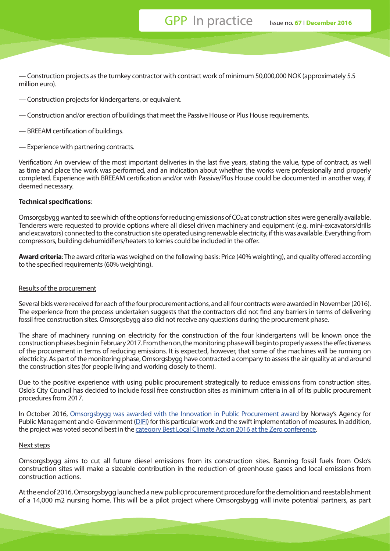— Construction projects as the turnkey contractor with contract work of minimum 50,000,000 NOK (approximately 5.5 million euro).

- Construction projects for kindergartens, or equivalent.
- Construction and/or erection of buildings that meet the Passive House or Plus House requirements.
- BREEAM certification of buildings.
- Experience with partnering contracts.

Verification: An overview of the most important deliveries in the last five years, stating the value, type of contract, as well as time and place the work was performed, and an indication about whether the works were professionally and properly completed. Experience with BREEAM certification and/or with Passive/Plus House could be documented in another way, if deemed necessary.

#### **Technical specifications**:

Omsorgsbygg wanted to see which of the options for reducing emissions of CO<sub>2</sub> at construction sites were generally available. Tenderers were requested to provide options where all diesel driven machinery and equipment (e.g. mini-excavators/drills and excavators) connected to the construction site operated using renewable electricity, if this was available. Everything from compressors, building dehumidifiers/heaters to lorries could be included in the offer.

**Award criteria**: The award criteria was weighed on the following basis: Price (40% weighting), and quality offered according to the specified requirements (60% weighting).

#### Results of the procurement

Several bids were received for each of the four procurement actions, and all four contracts were awarded in November (2016). The experience from the process undertaken suggests that the contractors did not find any barriers in terms of delivering fossil free construction sites. Omsorgsbygg also did not receive any questions during the procurement phase.

The share of machinery running on electricity for the construction of the four kindergartens will be known once the construction phases begin in February 2017. From then on, the monitoring phase will begin to properly assess the effectiveness of the procurement in terms of reducing emissions. It is expected, however, that some of the machines will be running on electricity. As part of the monitoring phase, Omsorgsbygg have contracted a company to assess the air quality at and around the construction sites (for people living and working closely to them).

Due to the positive experience with using public procurement strategically to reduce emissions from construction sites, Oslo's City Council has decided to include fossil free construction sites as minimum criteria in all of its public procurement procedures from 2017.

In October 2016, [Omsorgsbygg was awarded with the Innovation in Public Procurement award](https://www.difi.no/artikkel/2016/11/vinnerne-av-anskaffelsesprisene-2016) by Norway's Agency for Public Management and e-Government [\(DIFI](https://www.difi.no/om-difi/about-difi)) for this particular work and the swift implementation of measures. In addition, the project was voted second best in the [category Best Local Climate Action 2016 at the Zero conference](http://www.dagsavisen.no/innenriks/oslo-far-solv-i-gronn-konkurranse-1.809119).

#### Next steps

Omsorgsbygg aims to cut all future diesel emissions from its construction sites. Banning fossil fuels from Oslo's construction sites will make a sizeable contribution in the reduction of greenhouse gases and local emissions from construction actions.

At the end of 2016, Omsorgsbygg launched a new public procurement procedure for the demolition and reestablishment of a 14,000 m2 nursing home. This will be a pilot project where Omsorgsbygg will invite potential partners, as part